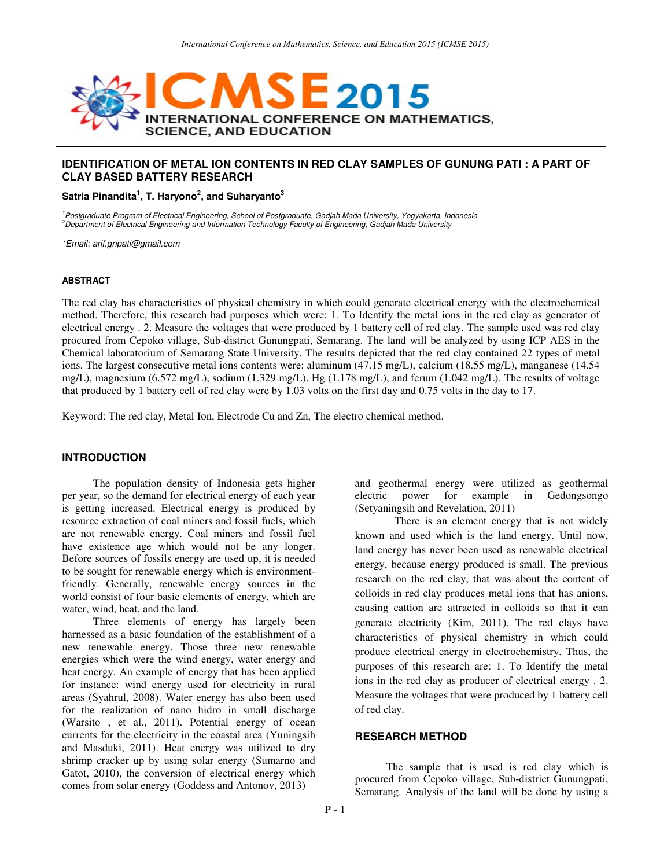

# **IDENTIFICATION OF METAL ION CONTENTS IN RED CLAY SAMPLES OF GUNUNG PATI : A PART OF CLAY BASED BATTERY RESEARCH**

**Satria Pinandita<sup>1</sup> , T. Haryono<sup>2</sup> , and Suharyanto<sup>3</sup>** 

<sup>1</sup>Postgraduate Program of Electrical Engineering, School of Postgraduate, Gadjah Mada University, Yogyakarta, Indonesia <sup>2</sup>Department of Electrical Engineering and Information Technology Faculty of Engineering, Gadjah Mada University

\*Email: arif.gnpati@gmail.com

### **ABSTRACT**

The red clay has characteristics of physical chemistry in which could generate electrical energy with the electrochemical method. Therefore, this research had purposes which were: 1. To Identify the metal ions in the red clay as generator of electrical energy . 2. Measure the voltages that were produced by 1 battery cell of red clay. The sample used was red clay procured from Cepoko village, Sub-district Gunungpati, Semarang. The land will be analyzed by using ICP AES in the Chemical laboratorium of Semarang State University. The results depicted that the red clay contained 22 types of metal ions. The largest consecutive metal ions contents were: aluminum (47.15 mg/L), calcium (18.55 mg/L), manganese (14.54 mg/L), magnesium (6.572 mg/L), sodium (1.329 mg/L), Hg (1.178 mg/L), and ferum (1.042 mg/L). The results of voltage that produced by 1 battery cell of red clay were by 1.03 volts on the first day and 0.75 volts in the day to 17.

Keyword: The red clay, Metal Ion, Electrode Cu and Zn, The electro chemical method.

# **INTRODUCTION**

The population density of Indonesia gets higher per year, so the demand for electrical energy of each year is getting increased. Electrical energy is produced by resource extraction of coal miners and fossil fuels, which are not renewable energy. Coal miners and fossil fuel have existence age which would not be any longer. Before sources of fossils energy are used up, it is needed to be sought for renewable energy which is environmentfriendly. Generally, renewable energy sources in the world consist of four basic elements of energy, which are water, wind, heat, and the land.

Three elements of energy has largely been harnessed as a basic foundation of the establishment of a new renewable energy. Those three new renewable energies which were the wind energy, water energy and heat energy. An example of energy that has been applied for instance: wind energy used for electricity in rural areas (Syahrul, 2008). Water energy has also been used for the realization of nano hidro in small discharge (Warsito , et al., 2011). Potential energy of ocean currents for the electricity in the coastal area (Yuningsih and Masduki, 2011). Heat energy was utilized to dry shrimp cracker up by using solar energy (Sumarno and Gatot, 2010), the conversion of electrical energy which comes from solar energy (Goddess and Antonov, 2013)

and geothermal energy were utilized as geothermal for example in Gedongsongo (Setyaningsih and Revelation, 2011)

There is an element energy that is not widely known and used which is the land energy. Until now, land energy has never been used as renewable electrical energy, because energy produced is small. The previous research on the red clay, that was about the content of colloids in red clay produces metal ions that has anions, causing cattion are attracted in colloids so that it can generate electricity (Kim, 2011). The red clays have characteristics of physical chemistry in which could produce electrical energy in electrochemistry. Thus, the purposes of this research are: 1. To Identify the metal ions in the red clay as producer of electrical energy . 2. Measure the voltages that were produced by 1 battery cell of red clay.

## **RESEARCH METHOD**

The sample that is used is red clay which is procured from Cepoko village, Sub-district Gunungpati, Semarang. Analysis of the land will be done by using a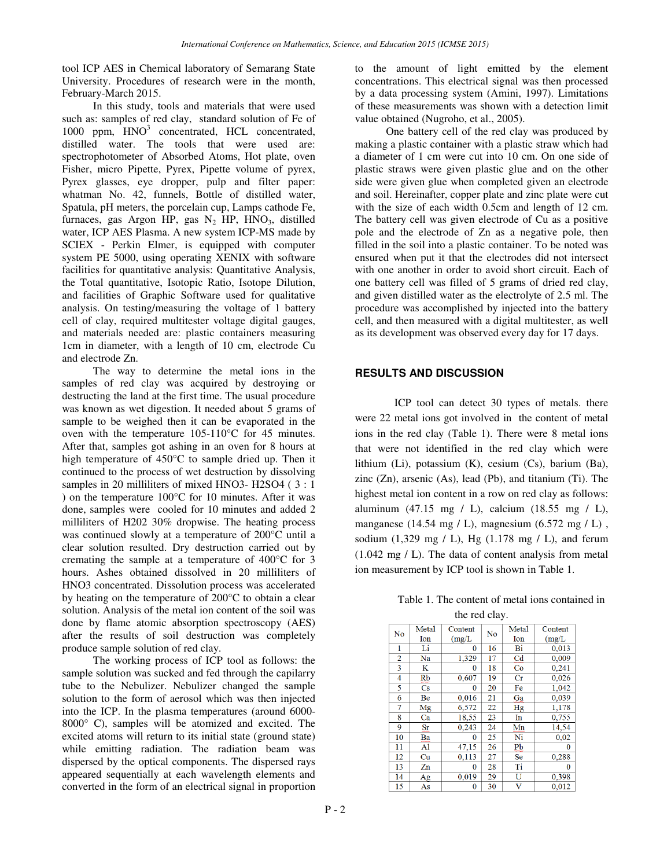tool ICP AES in Chemical laboratory of Semarang State University. Procedures of research were in the month, February-March 2015.

In this study, tools and materials that were used such as: samples of red clay, standard solution of Fe of 1000 ppm, HNO<sup>3</sup> concentrated, HCL concentrated, distilled water. The tools that were used are: spectrophotometer of Absorbed Atoms, Hot plate, oven Fisher, micro Pipette, Pyrex, Pipette volume of pyrex, Pyrex glasses, eye dropper, pulp and filter paper: whatman No. 42, funnels, Bottle of distilled water, Spatula, pH meters, the porcelain cup, Lamps cathode Fe, furnaces, gas Argon HP, gas  $N_2$  HP, HNO<sub>3</sub>, distilled water, ICP AES Plasma. A new system ICP-MS made by SCIEX - Perkin Elmer, is equipped with computer system PE 5000, using operating XENIX with software facilities for quantitative analysis: Quantitative Analysis, the Total quantitative, Isotopic Ratio, Isotope Dilution, and facilities of Graphic Software used for qualitative analysis. On testing/measuring the voltage of 1 battery cell of clay, required multitester voltage digital gauges, and materials needed are: plastic containers measuring 1cm in diameter, with a length of 10 cm, electrode Cu and electrode Zn.

The way to determine the metal ions in the samples of red clay was acquired by destroying or destructing the land at the first time. The usual procedure was known as wet digestion. It needed about 5 grams of sample to be weighed then it can be evaporated in the oven with the temperature 105-110°C for 45 minutes. After that, samples got ashing in an oven for 8 hours at high temperature of 450°C to sample dried up. Then it continued to the process of wet destruction by dissolving samples in 20 milliliters of mixed HNO3- H2SO4 (3:1) ) on the temperature 100°C for 10 minutes. After it was done, samples were cooled for 10 minutes and added 2 milliliters of H202 30% dropwise. The heating process was continued slowly at a temperature of 200°C until a clear solution resulted. Dry destruction carried out by cremating the sample at a temperature of 400°C for 3 hours. Ashes obtained dissolved in 20 milliliters of HNO3 concentrated. Dissolution process was accelerated by heating on the temperature of 200°C to obtain a clear solution. Analysis of the metal ion content of the soil was done by flame atomic absorption spectroscopy (AES) after the results of soil destruction was completely produce sample solution of red clay.

The working process of ICP tool as follows: the sample solution was sucked and fed through the capilarry tube to the Nebulizer. Nebulizer changed the sample solution to the form of aerosol which was then injected into the ICP. In the plasma temperatures (around 6000- 8000° C), samples will be atomized and excited. The excited atoms will return to its initial state (ground state) while emitting radiation. The radiation beam was dispersed by the optical components. The dispersed rays appeared sequentially at each wavelength elements and converted in the form of an electrical signal in proportion

to the amount of light emitted by the element concentrations. This electrical signal was then processed by a data processing system (Amini, 1997). Limitations of these measurements was shown with a detection limit value obtained (Nugroho, et al., 2005).

One battery cell of the red clay was produced by making a plastic container with a plastic straw which had a diameter of 1 cm were cut into 10 cm. On one side of plastic straws were given plastic glue and on the other side were given glue when completed given an electrode and soil. Hereinafter, copper plate and zinc plate were cut with the size of each width 0.5cm and length of 12 cm. The battery cell was given electrode of Cu as a positive pole and the electrode of Zn as a negative pole, then filled in the soil into a plastic container. To be noted was ensured when put it that the electrodes did not intersect with one another in order to avoid short circuit. Each of one battery cell was filled of 5 grams of dried red clay, and given distilled water as the electrolyte of 2.5 ml. The procedure was accomplished by injected into the battery cell, and then measured with a digital multitester, as well as its development was observed every day for 17 days.

## **RESULTS AND DISCUSSION**

ICP tool can detect 30 types of metals. there were 22 metal ions got involved in the content of metal ions in the red clay (Table 1). There were 8 metal ions that were not identified in the red clay which were lithium (Li), potassium (K), cesium (Cs), barium (Ba), zinc  $(Zn)$ , arsenic  $(As)$ , lead  $(Pb)$ , and titanium  $(Ti)$ . The highest metal ion content in a row on red clay as follows: aluminum (47.15 mg / L), calcium (18.55 mg / L), manganese  $(14.54 \text{ mg } I)$ , magnesium  $(6.572 \text{ mg } I)$ , sodium  $(1,329 \text{ mg } I)$ , Hg  $(1.178 \text{ mg } I)$ , and ferum (1.042 mg / L). The data of content analysis from metal ion measurement by ICP tool is shown in Table 1.

| Table 1. The content of metal ions contained in |
|-------------------------------------------------|
| the red clay.                                   |

| No | Metal                  | Content      | No | Metal          | Content  |
|----|------------------------|--------------|----|----------------|----------|
|    | Ion                    | (mg/L)       |    | Ion            | (mg/L)   |
| 1  | Li                     | 0            | 16 | Bi             | 0,013    |
| 2  | Na                     | 1,329        | 17 | C <sub>d</sub> | 0,009    |
| 3  | K                      | 0            | 18 | Co             | 0,241    |
| 4  | Rb                     | 0,607        | 19 | $_{\rm Cr}$    | 0,026    |
| 5  | $\mathbf{C}\mathbf{s}$ | 0            | 20 | Fe             | 1,042    |
| 6  | Be                     | 0,016        | 21 | Ga             | 0,039    |
| 7  | Mg                     | 6,572        | 22 | Hg             | 1,178    |
| 8  | Ca                     | 18,55        | 23 | In             | 0,755    |
| 9  | Sr                     | 0.243        | 24 | Mn             | 14,54    |
| 10 | Ba                     | 0            | 25 | Ni             | 0,02     |
| 11 | Al                     | 47,15        | 26 | Pb             | 0        |
| 12 | Cu                     | 0.113        | 27 | <b>Se</b>      | 0,288    |
| 13 | Zn                     | $\mathbf{0}$ | 28 | Ti             | $\bf{0}$ |
| 14 | Ag                     | 0,019        | 29 | U              | 0,398    |
| 15 | As                     | 0            | 30 | v              | 0,012    |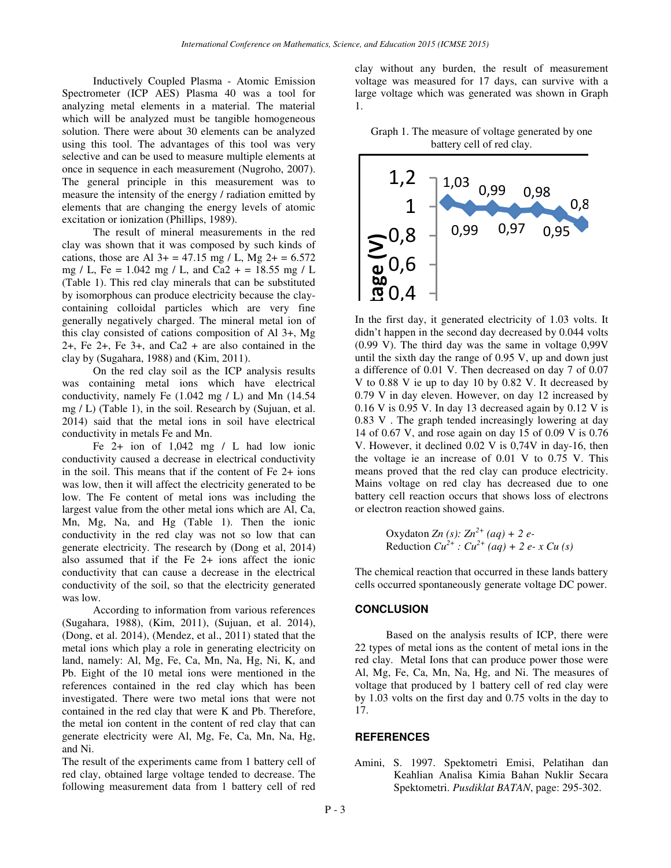Inductively Coupled Plasma - Atomic Emission Spectrometer (ICP AES) Plasma 40 was a tool for analyzing metal elements in a material. The material which will be analyzed must be tangible homogeneous solution. There were about 30 elements can be analyzed using this tool. The advantages of this tool was very selective and can be used to measure multiple elements at once in sequence in each measurement (Nugroho, 2007). The general principle in this measurement was to measure the intensity of the energy / radiation emitted by elements that are changing the energy levels of atomic excitation or ionization (Phillips, 1989).

The result of mineral measurements in the red clay was shown that it was composed by such kinds of cations, those are Al  $3+ = 47.15$  mg / L, Mg  $2+ = 6.572$ mg / L, Fe = 1.042 mg / L, and Ca2 + = 18.55 mg / L (Table 1). This red clay minerals that can be substituted by isomorphous can produce electricity because the claycontaining colloidal particles which are very fine generally negatively charged. The mineral metal ion of this clay consisted of cations composition of Al 3+, Mg 2+, Fe 2+, Fe 3+, and Ca2 + are also contained in the clay by (Sugahara, 1988) and (Kim, 2011).

On the red clay soil as the ICP analysis results was containing metal ions which have electrical conductivity, namely Fe  $(1.042 \text{ mg } I)$  and Mn  $(14.54 \text{ m})$ mg / L) (Table 1), in the soil. Research by (Sujuan, et al. 2014) said that the metal ions in soil have electrical conductivity in metals Fe and Mn.

Fe 2+ ion of 1,042 mg / L had low ionic conductivity caused a decrease in electrical conductivity in the soil. This means that if the content of Fe 2+ ions was low, then it will affect the electricity generated to be low. The Fe content of metal ions was including the largest value from the other metal ions which are Al, Ca, Mn, Mg, Na, and Hg (Table 1). Then the ionic conductivity in the red clay was not so low that can generate electricity. The research by (Dong et al, 2014) also assumed that if the Fe 2+ ions affect the ionic conductivity that can cause a decrease in the electrical conductivity of the soil, so that the electricity generated was low.

According to information from various references (Sugahara, 1988), (Kim, 2011), (Sujuan, et al. 2014), (Dong, et al. 2014), (Mendez, et al., 2011) stated that the metal ions which play a role in generating electricity on land, namely: Al, Mg, Fe, Ca, Mn, Na, Hg, Ni, K, and Pb. Eight of the 10 metal ions were mentioned in the references contained in the red clay which has been investigated. There were two metal ions that were not contained in the red clay that were K and Pb. Therefore, the metal ion content in the content of red clay that can generate electricity were Al, Mg, Fe, Ca, Mn, Na, Hg, and Ni.

The result of the experiments came from 1 battery cell of red clay, obtained large voltage tended to decrease. The following measurement data from 1 battery cell of red clay without any burden, the result of measurement voltage was measured for 17 days, can survive with a large voltage which was generated was shown in Graph 1.





In the first day, it generated electricity of 1.03 volts. It didn't happen in the second day decreased by 0.044 volts (0.99 V). The third day was the same in voltage 0,99V until the sixth day the range of 0.95 V, up and down just a difference of 0.01 V. Then decreased on day 7 of 0.07 V to 0.88 V ie up to day 10 by 0.82 V. It decreased by 0.79 V in day eleven. However, on day 12 increased by  $0.16$  V is  $0.95$  V. In day 13 decreased again by  $0.12$  V is 0.83 V . The graph tended increasingly lowering at day 14 of 0.67 V, and rose again on day 15 of 0.09 V is 0.76 V. However, it declined 0.02 V is 0,74V in day-16, then the voltage ie an increase of 0.01 V to 0.75 V. This means proved that the red clay can produce electricity. Mains voltage on red clay has decreased due to one battery cell reaction occurs that shows loss of electrons or electron reaction showed gains.

Oxydaton *Zn* (*s*): 
$$
Zn^{2+}
$$
 (*aq*) + 2 *e*-  
Reduction  $Cu^{2+}$ :  $Cu^{2+}$  (*aq*) + 2 *e*- *x*  $Cu$  (*s*)

The chemical reaction that occurred in these lands battery cells occurred spontaneously generate voltage DC power.

#### **CONCLUSION**

Based on the analysis results of ICP, there were 22 types of metal ions as the content of metal ions in the red clay. Metal Ions that can produce power those were Al, Mg, Fe, Ca, Mn, Na, Hg, and Ni. The measures of voltage that produced by 1 battery cell of red clay were by 1.03 volts on the first day and 0.75 volts in the day to 17.

### **REFERENCES**

Amini, S. 1997. Spektometri Emisi, Pelatihan dan Keahlian Analisa Kimia Bahan Nuklir Secara Spektometri. *Pusdiklat BATAN*, page: 295-302.